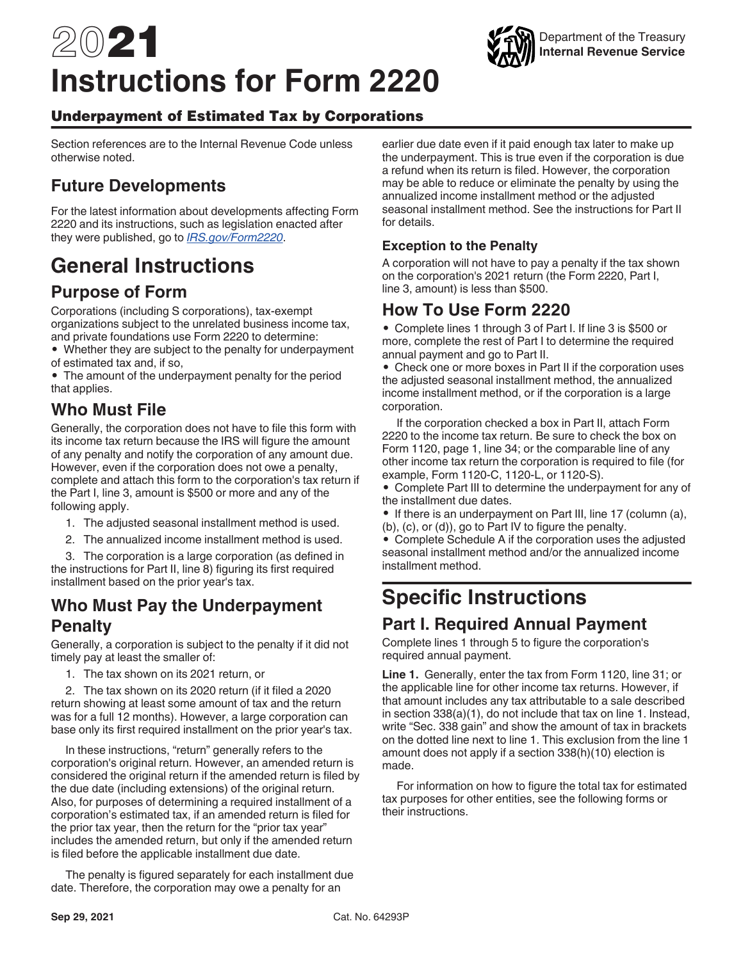# 2021 **Instructions for Form 2220**



#### Underpayment of Estimated Tax by Corporations

Section references are to the Internal Revenue Code unless otherwise noted.

## **Future Developments**

For the latest information about developments affecting Form 2220 and its instructions, such as legislation enacted after they were published, go to *[IRS.gov/Form2220](https://www.irs.gov/form2220)*.

## **General Instructions**

## **Purpose of Form**

Corporations (including S corporations), tax-exempt organizations subject to the unrelated business income tax, and private foundations use Form 2220 to determine:

• Whether they are subject to the penalty for underpayment of estimated tax and, if so,

• The amount of the underpayment penalty for the period that applies.

## **Who Must File**

Generally, the corporation does not have to file this form with its income tax return because the IRS will figure the amount of any penalty and notify the corporation of any amount due. However, even if the corporation does not owe a penalty, complete and attach this form to the corporation's tax return if the Part I, line 3, amount is \$500 or more and any of the following apply.

- 1. The adjusted seasonal installment method is used.
- 2. The annualized income installment method is used.

3. The corporation is a large corporation (as defined in the instructions for Part II, line 8) figuring its first required installment based on the prior year's tax.

#### **Who Must Pay the Underpayment Penalty**

Generally, a corporation is subject to the penalty if it did not timely pay at least the smaller of:

1. The tax shown on its 2021 return, or

2. The tax shown on its 2020 return (if it filed a 2020 return showing at least some amount of tax and the return was for a full 12 months). However, a large corporation can base only its first required installment on the prior year's tax.

In these instructions, "return" generally refers to the corporation's original return. However, an amended return is considered the original return if the amended return is filed by the due date (including extensions) of the original return. Also, for purposes of determining a required installment of a corporation's estimated tax, if an amended return is filed for the prior tax year, then the return for the "prior tax year" includes the amended return, but only if the amended return is filed before the applicable installment due date.

The penalty is figured separately for each installment due date. Therefore, the corporation may owe a penalty for an

earlier due date even if it paid enough tax later to make up the underpayment. This is true even if the corporation is due a refund when its return is filed. However, the corporation may be able to reduce or eliminate the penalty by using the annualized income installment method or the adjusted seasonal installment method. See the instructions for Part II for details.

#### **Exception to the Penalty**

A corporation will not have to pay a penalty if the tax shown on the corporation's 2021 return (the Form 2220, Part I, line 3, amount) is less than \$500.

#### **How To Use Form 2220**

• Complete lines 1 through 3 of Part I. If line 3 is \$500 or more, complete the rest of Part I to determine the required annual payment and go to Part II.

• Check one or more boxes in Part II if the corporation uses the adjusted seasonal installment method, the annualized income installment method, or if the corporation is a large corporation.

If the corporation checked a box in Part II, attach Form 2220 to the income tax return. Be sure to check the box on Form 1120, page 1, line 34; or the comparable line of any other income tax return the corporation is required to file (for example, Form 1120-C, 1120-L, or 1120-S).

• Complete Part III to determine the underpayment for any of the installment due dates.

• If there is an underpayment on Part III, line 17 (column (a), (b), (c), or (d)), go to Part IV to figure the penalty.

• Complete Schedule A if the corporation uses the adjusted seasonal installment method and/or the annualized income installment method.

# **Specific Instructions**

## **Part I. Required Annual Payment**

Complete lines 1 through 5 to figure the corporation's required annual payment.

**Line 1.** Generally, enter the tax from Form 1120, line 31; or the applicable line for other income tax returns. However, if that amount includes any tax attributable to a sale described in section 338(a)(1), do not include that tax on line 1. Instead, write "Sec. 338 gain" and show the amount of tax in brackets on the dotted line next to line 1. This exclusion from the line 1 amount does not apply if a section 338(h)(10) election is made.

For information on how to figure the total tax for estimated tax purposes for other entities, see the following forms or their instructions.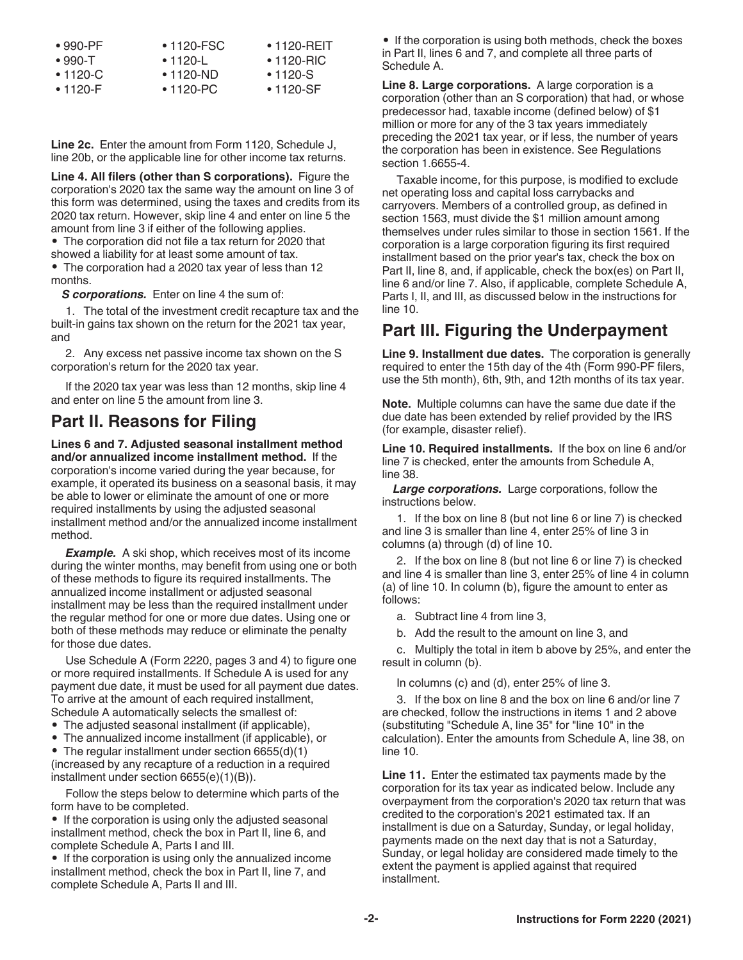| $\bullet$ 990-PF | $\bullet$ 1120-FSC | $\cdot$ 1120-REIT |
|------------------|--------------------|-------------------|
| $\bullet$ 990-T  | $\cdot$ 1120-L     | $\cdot$ 1120-RIC  |
| $\bullet$ 1120-C | $\bullet$ 1120-ND  | $\cdot$ 1120-S    |
| $\cdot$ 1120-F   | $\bullet$ 1120-PC  | $\cdot$ 1120-SF   |

**Line 2c.** Enter the amount from Form 1120, Schedule J, line 20b, or the applicable line for other income tax returns.

**Line 4. All filers (other than S corporations).** Figure the corporation's 2020 tax the same way the amount on line 3 of this form was determined, using the taxes and credits from its 2020 tax return. However, skip line 4 and enter on line 5 the amount from line 3 if either of the following applies.

• The corporation did not file a tax return for 2020 that showed a liability for at least some amount of tax.

• The corporation had a 2020 tax year of less than 12 months.

*S corporations.* Enter on line 4 the sum of:

1. The total of the investment credit recapture tax and the built-in gains tax shown on the return for the 2021 tax year, and

2. Any excess net passive income tax shown on the S corporation's return for the 2020 tax year.

If the 2020 tax year was less than 12 months, skip line 4 and enter on line 5 the amount from line 3.

#### **Part II. Reasons for Filing**

**Lines 6 and 7. Adjusted seasonal installment method and/or annualized income installment method.** If the corporation's income varied during the year because, for example, it operated its business on a seasonal basis, it may be able to lower or eliminate the amount of one or more required installments by using the adjusted seasonal installment method and/or the annualized income installment method.

**Example.** A ski shop, which receives most of its income during the winter months, may benefit from using one or both of these methods to figure its required installments. The annualized income installment or adjusted seasonal installment may be less than the required installment under the regular method for one or more due dates. Using one or both of these methods may reduce or eliminate the penalty for those due dates.

Use Schedule A (Form 2220, pages 3 and 4) to figure one or more required installments. If Schedule A is used for any payment due date, it must be used for all payment due dates. To arrive at the amount of each required installment, Schedule A automatically selects the smallest of:

- The adjusted seasonal installment (if applicable),
- The annualized income installment (if applicable), or

• The regular installment under section 6655(d)(1)

(increased by any recapture of a reduction in a required installment under section 6655(e)(1)(B)).

Follow the steps below to determine which parts of the form have to be completed.

• If the corporation is using only the adjusted seasonal installment method, check the box in Part II, line 6, and complete Schedule A, Parts I and III.

• If the corporation is using only the annualized income installment method, check the box in Part II, line 7, and complete Schedule A, Parts II and III.

• If the corporation is using both methods, check the boxes in Part II, lines 6 and 7, and complete all three parts of Schedule A.

**Line 8. Large corporations.** A large corporation is a corporation (other than an S corporation) that had, or whose predecessor had, taxable income (defined below) of \$1 million or more for any of the 3 tax years immediately preceding the 2021 tax year, or if less, the number of years the corporation has been in existence. See Regulations section 1.6655-4.

Taxable income, for this purpose, is modified to exclude net operating loss and capital loss carrybacks and carryovers. Members of a controlled group, as defined in section 1563, must divide the \$1 million amount among themselves under rules similar to those in section 1561. If the corporation is a large corporation figuring its first required installment based on the prior year's tax, check the box on Part II, line 8, and, if applicable, check the box(es) on Part II, line 6 and/or line 7. Also, if applicable, complete Schedule A, Parts I, II, and III, as discussed below in the instructions for line 10.

## **Part III. Figuring the Underpayment**

**Line 9. Installment due dates.** The corporation is generally required to enter the 15th day of the 4th (Form 990-PF filers, use the 5th month), 6th, 9th, and 12th months of its tax year.

**Note.** Multiple columns can have the same due date if the due date has been extended by relief provided by the IRS (for example, disaster relief).

**Line 10. Required installments.** If the box on line 6 and/or line 7 is checked, enter the amounts from Schedule A, line 38.

*Large corporations.* Large corporations, follow the instructions below.

1. If the box on line 8 (but not line 6 or line 7) is checked and line 3 is smaller than line 4, enter 25% of line 3 in columns (a) through (d) of line 10.

2. If the box on line 8 (but not line 6 or line 7) is checked and line 4 is smaller than line 3, enter 25% of line 4 in column (a) of line 10. In column (b), figure the amount to enter as follows:

a. Subtract line 4 from line 3,

b. Add the result to the amount on line 3, and

c. Multiply the total in item b above by 25%, and enter the result in column (b).

In columns (c) and (d), enter 25% of line 3.

3. If the box on line 8 and the box on line 6 and/or line 7 are checked, follow the instructions in items 1 and 2 above (substituting "Schedule A, line 35" for "line 10" in the calculation). Enter the amounts from Schedule A, line 38, on line 10.

**Line 11.** Enter the estimated tax payments made by the corporation for its tax year as indicated below. Include any overpayment from the corporation's 2020 tax return that was credited to the corporation's 2021 estimated tax. If an installment is due on a Saturday, Sunday, or legal holiday, payments made on the next day that is not a Saturday, Sunday, or legal holiday are considered made timely to the extent the payment is applied against that required installment.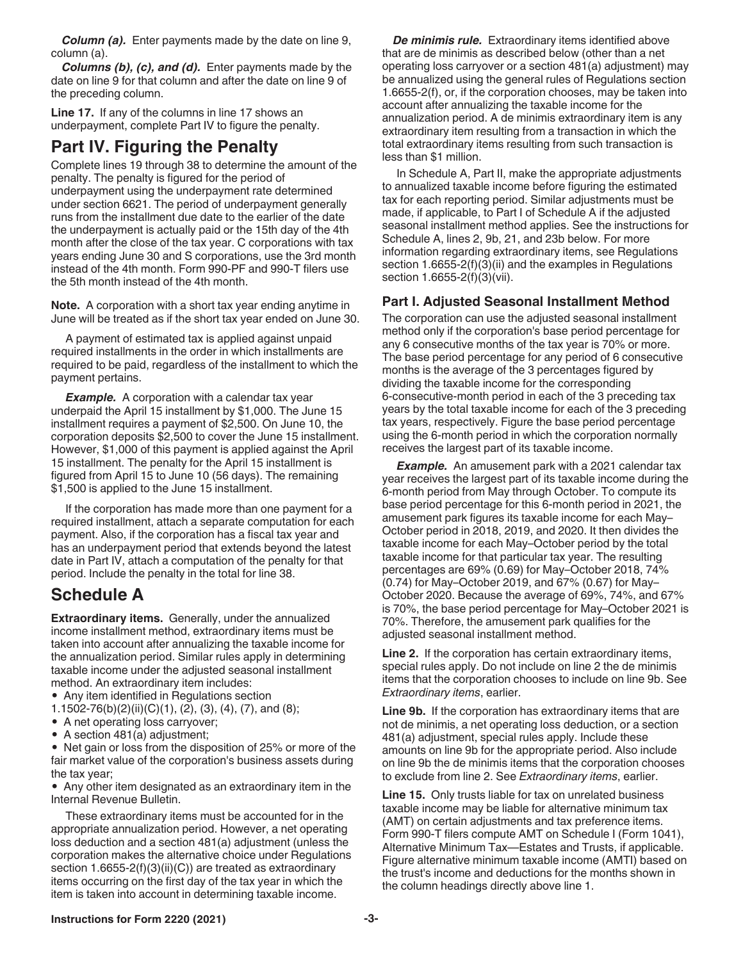*Column (a).* Enter payments made by the date on line 9, column (a).

*Columns (b), (c), and (d).* Enter payments made by the date on line 9 for that column and after the date on line 9 of the preceding column.

**Line 17.** If any of the columns in line 17 shows an underpayment, complete Part IV to figure the penalty.

#### **Part IV. Figuring the Penalty**

Complete lines 19 through 38 to determine the amount of the penalty. The penalty is figured for the period of underpayment using the underpayment rate determined under section 6621. The period of underpayment generally runs from the installment due date to the earlier of the date the underpayment is actually paid or the 15th day of the 4th month after the close of the tax year. C corporations with tax years ending June 30 and S corporations, use the 3rd month instead of the 4th month. Form 990-PF and 990-T filers use the 5th month instead of the 4th month.

**Note.** A corporation with a short tax year ending anytime in June will be treated as if the short tax year ended on June 30.

A payment of estimated tax is applied against unpaid required installments in the order in which installments are required to be paid, regardless of the installment to which the payment pertains.

**Example.** A corporation with a calendar tax year underpaid the April 15 installment by \$1,000. The June 15 installment requires a payment of \$2,500. On June 10, the corporation deposits \$2,500 to cover the June 15 installment. However, \$1,000 of this payment is applied against the April 15 installment. The penalty for the April 15 installment is figured from April 15 to June 10 (56 days). The remaining \$1,500 is applied to the June 15 installment.

If the corporation has made more than one payment for a required installment, attach a separate computation for each payment. Also, if the corporation has a fiscal tax year and has an underpayment period that extends beyond the latest date in Part IV, attach a computation of the penalty for that period. Include the penalty in the total for line 38.

#### **Schedule A**

**Extraordinary items.** Generally, under the annualized income installment method, extraordinary items must be taken into account after annualizing the taxable income for the annualization period. Similar rules apply in determining taxable income under the adjusted seasonal installment method. An extraordinary item includes:

- Any item identified in Regulations section
- 1.1502-76(b)(2)(ii)(C)(1), (2), (3), (4), (7), and (8);
- A net operating loss carryover;
- A section 481(a) adjustment;

• Net gain or loss from the disposition of 25% or more of the fair market value of the corporation's business assets during the tax year;

• Any other item designated as an extraordinary item in the Internal Revenue Bulletin.

These extraordinary items must be accounted for in the appropriate annualization period. However, a net operating loss deduction and a section 481(a) adjustment (unless the corporation makes the alternative choice under Regulations section 1.6655-2(f)(3)(ii)(C)) are treated as extraordinary items occurring on the first day of the tax year in which the item is taken into account in determining taxable income.

*De minimis rule.* Extraordinary items identified above that are de minimis as described below (other than a net operating loss carryover or a section 481(a) adjustment) may be annualized using the general rules of Regulations section 1.6655-2(f), or, if the corporation chooses, may be taken into account after annualizing the taxable income for the annualization period. A de minimis extraordinary item is any extraordinary item resulting from a transaction in which the total extraordinary items resulting from such transaction is less than \$1 million.

In Schedule A, Part II, make the appropriate adjustments to annualized taxable income before figuring the estimated tax for each reporting period. Similar adjustments must be made, if applicable, to Part I of Schedule A if the adjusted seasonal installment method applies. See the instructions for Schedule A, lines 2, 9b, 21, and 23b below. For more information regarding extraordinary items, see Regulations section 1.6655-2(f)(3)(ii) and the examples in Regulations section 1.6655-2(f)(3)(vii).

#### **Part I. Adjusted Seasonal Installment Method**

The corporation can use the adjusted seasonal installment method only if the corporation's base period percentage for any 6 consecutive months of the tax year is 70% or more. The base period percentage for any period of 6 consecutive months is the average of the 3 percentages figured by dividing the taxable income for the corresponding 6-consecutive-month period in each of the 3 preceding tax years by the total taxable income for each of the 3 preceding tax years, respectively. Figure the base period percentage using the 6-month period in which the corporation normally receives the largest part of its taxable income.

*Example.* An amusement park with a 2021 calendar tax year receives the largest part of its taxable income during the 6-month period from May through October. To compute its base period percentage for this 6-month period in 2021, the amusement park figures its taxable income for each May– October period in 2018, 2019, and 2020. It then divides the taxable income for each May–October period by the total taxable income for that particular tax year. The resulting percentages are 69% (0.69) for May–October 2018, 74% (0.74) for May–October 2019, and 67% (0.67) for May– October 2020. Because the average of 69%, 74%, and 67% is 70%, the base period percentage for May–October 2021 is 70%. Therefore, the amusement park qualifies for the adjusted seasonal installment method.

**Line 2.** If the corporation has certain extraordinary items, special rules apply. Do not include on line 2 the de minimis items that the corporation chooses to include on line 9b. See *Extraordinary items*, earlier.

**Line 9b.** If the corporation has extraordinary items that are not de minimis, a net operating loss deduction, or a section 481(a) adjustment, special rules apply. Include these amounts on line 9b for the appropriate period. Also include on line 9b the de minimis items that the corporation chooses to exclude from line 2. See *Extraordinary items*, earlier.

**Line 15.** Only trusts liable for tax on unrelated business taxable income may be liable for alternative minimum tax (AMT) on certain adjustments and tax preference items. Form 990-T filers compute AMT on Schedule I (Form 1041), Alternative Minimum Tax—Estates and Trusts, if applicable. Figure alternative minimum taxable income (AMTI) based on the trust's income and deductions for the months shown in the column headings directly above line 1.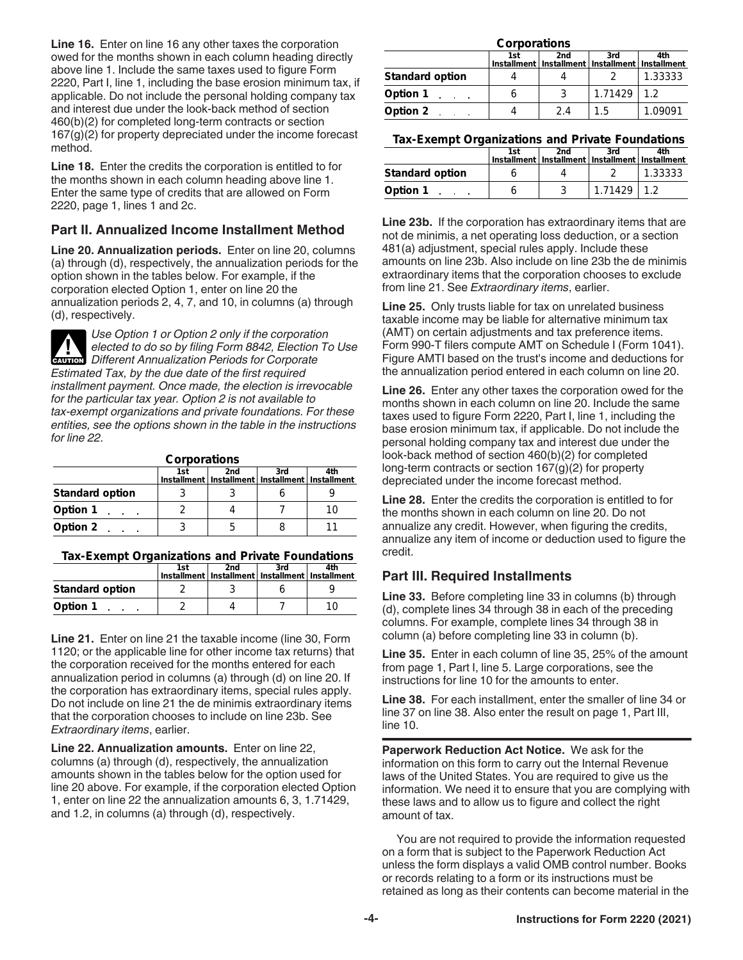**Line 16.** Enter on line 16 any other taxes the corporation owed for the months shown in each column heading directly above line 1. Include the same taxes used to figure Form 2220, Part I, line 1, including the base erosion minimum tax, if applicable. Do not include the personal holding company tax and interest due under the look-back method of section 460(b)(2) for completed long-term contracts or section 167(g)(2) for property depreciated under the income forecast method.

**Line 18.** Enter the credits the corporation is entitled to for the months shown in each column heading above line 1. Enter the same type of credits that are allowed on Form 2220, page 1, lines 1 and 2c.

#### **Part II. Annualized Income Installment Method**

**Line 20. Annualization periods.** Enter on line 20, columns (a) through (d), respectively, the annualization periods for the option shown in the tables below. For example, if the corporation elected Option 1, enter on line 20 the annualization periods 2, 4, 7, and 10, in columns (a) through (d), respectively.

*Use Option 1 or Option 2 only if the corporation elected to do so by filing Form 8842, Election To Use*  **Properties Annualization Periods for Corporate** *Different Annualization Periods for Corporate Estimated Tax, by the due date of the first required installment payment. Once made, the election is irrevocable for the particular tax year. Option 2 is not available to tax-exempt organizations and private foundations. For these entities, see the options shown in the table in the instructions for line 22.*

**Corporations**

|                        | 1st | 2nd<br>Installment   Installment   Installment   Installment | 3rd | 4th |
|------------------------|-----|--------------------------------------------------------------|-----|-----|
| <b>Standard option</b> |     |                                                              |     |     |
| Option 1               |     |                                                              |     |     |
| Option 2               |     |                                                              |     |     |

#### **Tax-Exempt Organizations and Private Foundations**

|                        | 1st | 2nd<br>Installment   Installment   Installment   Installment | 3rd | 4th |
|------------------------|-----|--------------------------------------------------------------|-----|-----|
| <b>Standard option</b> |     |                                                              |     |     |
| Option 1               |     |                                                              |     | 10  |

**Line 21.** Enter on line 21 the taxable income (line 30, Form 1120; or the applicable line for other income tax returns) that the corporation received for the months entered for each annualization period in columns (a) through (d) on line 20. If the corporation has extraordinary items, special rules apply. Do not include on line 21 the de minimis extraordinary items that the corporation chooses to include on line 23b. See *Extraordinary items*, earlier.

**Line 22. Annualization amounts.** Enter on line 22, columns (a) through (d), respectively, the annualization amounts shown in the tables below for the option used for line 20 above. For example, if the corporation elected Option 1, enter on line 22 the annualization amounts 6, 3, 1.71429, and 1.2, in columns (a) through (d), respectively.

| Corporations           |     |                                                              |         |         |  |
|------------------------|-----|--------------------------------------------------------------|---------|---------|--|
|                        | 1st | 2nd<br>Installment   Installment   Installment   Installment | 3rd     | 4th     |  |
| <b>Standard option</b> |     |                                                              |         | 1.33333 |  |
| Option 1               | o   |                                                              | 1.71429 | 12      |  |
| Option 2               |     | 2.4                                                          | 15      | 1.09091 |  |

| Tax-Exempt Organizations and Private Foundations |  |
|--------------------------------------------------|--|
|                                                  |  |

|                        | 1st | 2nd<br>Installment   Installment   Installment   Installment | 3rd     | 4th     |
|------------------------|-----|--------------------------------------------------------------|---------|---------|
| <b>Standard option</b> |     |                                                              |         | 1.33333 |
| Option 1               |     |                                                              | 1 71429 |         |

**Line 23b.** If the corporation has extraordinary items that are not de minimis, a net operating loss deduction, or a section 481(a) adjustment, special rules apply. Include these amounts on line 23b. Also include on line 23b the de minimis extraordinary items that the corporation chooses to exclude from line 21. See *Extraordinary items*, earlier.

**Line 25.** Only trusts liable for tax on unrelated business taxable income may be liable for alternative minimum tax (AMT) on certain adjustments and tax preference items. Form 990-T filers compute AMT on Schedule I (Form 1041). Figure AMTI based on the trust's income and deductions for the annualization period entered in each column on line 20.

**Line 26.** Enter any other taxes the corporation owed for the months shown in each column on line 20. Include the same taxes used to figure Form 2220, Part I, line 1, including the base erosion minimum tax, if applicable. Do not include the personal holding company tax and interest due under the look-back method of section 460(b)(2) for completed long-term contracts or section 167(g)(2) for property depreciated under the income forecast method.

**Line 28.** Enter the credits the corporation is entitled to for the months shown in each column on line 20. Do not annualize any credit. However, when figuring the credits, annualize any item of income or deduction used to figure the credit.

#### **Part III. Required Installments**

**Line 33.** Before completing line 33 in columns (b) through (d), complete lines 34 through 38 in each of the preceding columns. For example, complete lines 34 through 38 in column (a) before completing line 33 in column (b).

**Line 35.** Enter in each column of line 35, 25% of the amount from page 1, Part I, line 5. Large corporations, see the instructions for line 10 for the amounts to enter.

**Line 38.** For each installment, enter the smaller of line 34 or line 37 on line 38. Also enter the result on page 1, Part III, line 10.

**Paperwork Reduction Act Notice.** We ask for the information on this form to carry out the Internal Revenue laws of the United States. You are required to give us the information. We need it to ensure that you are complying with these laws and to allow us to figure and collect the right amount of tax.

You are not required to provide the information requested on a form that is subject to the Paperwork Reduction Act unless the form displays a valid OMB control number. Books or records relating to a form or its instructions must be retained as long as their contents can become material in the